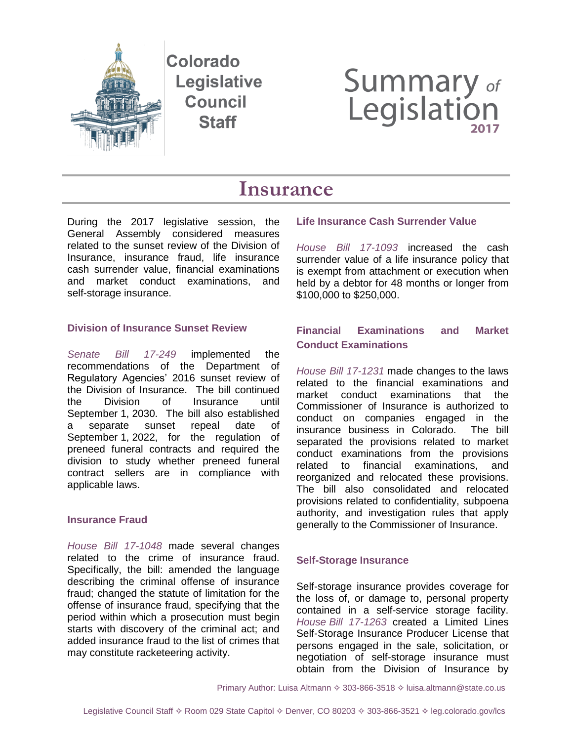

Colorado **Legislative Council Staff** 

# **Summary of**<br>Legislation

## **Insurance**

During the 2017 legislative session, the General Assembly considered measures related to the sunset review of the Division of Insurance, insurance fraud, life insurance cash surrender value, financial examinations and market conduct examinations, and self-storage insurance.

#### **Division of Insurance Sunset Review**

*[Senate Bill 17-249](http://leg.colorado.gov/bills/sb17-249)* implemented the recommendations of the Department of Regulatory Agencies' 2016 sunset review of the Division of Insurance. The bill continued the Division of Insurance until September 1, 2030. The bill also established a separate sunset repeal date of September 1, 2022, for the regulation of preneed funeral contracts and required the division to study whether preneed funeral contract sellers are in compliance with applicable laws.

#### **Insurance Fraud**

*[House Bill 17-1048](http://leg.colorado.gov/bills/hb17-1048)* made several changes related to the crime of insurance fraud. Specifically, the bill: amended the language describing the criminal offense of insurance fraud; changed the statute of limitation for the offense of insurance fraud, specifying that the period within which a prosecution must begin starts with discovery of the criminal act; and added insurance fraud to the list of crimes that may constitute racketeering activity.

#### **Life Insurance Cash Surrender Value**

*[House Bill 17-1093](http://leg.colorado.gov/bills/hb17-1093)* increased the cash surrender value of a life insurance policy that is exempt from attachment or execution when held by a debtor for 48 months or longer from \$100,000 to \$250,000.

### **Financial Examinations and Market Conduct Examinations**

*[House Bill 17-1231](http://leg.colorado.gov/bills/hb17-1231)* made changes to the laws related to the financial examinations and market conduct examinations that the Commissioner of Insurance is authorized to conduct on companies engaged in the insurance business in Colorado. The bill separated the provisions related to market conduct examinations from the provisions related to financial examinations, and reorganized and relocated these provisions. The bill also consolidated and relocated provisions related to confidentiality, subpoena authority, and investigation rules that apply generally to the Commissioner of Insurance.

#### **Self-Storage Insurance**

Self-storage insurance provides coverage for the loss of, or damage to, personal property contained in a self-service storage facility. *House [Bill 17-1263](http://leg.colorado.gov/bills/hb17-1263)* created a Limited Lines Self-Storage Insurance Producer License that persons engaged in the sale, solicitation, or negotiation of self-storage insurance must obtain from the Division of Insurance by

Primary Author: Luisa Altmann  $\Diamond$  303-866-3518  $\Diamond$  luisa.altmann@state.co.us